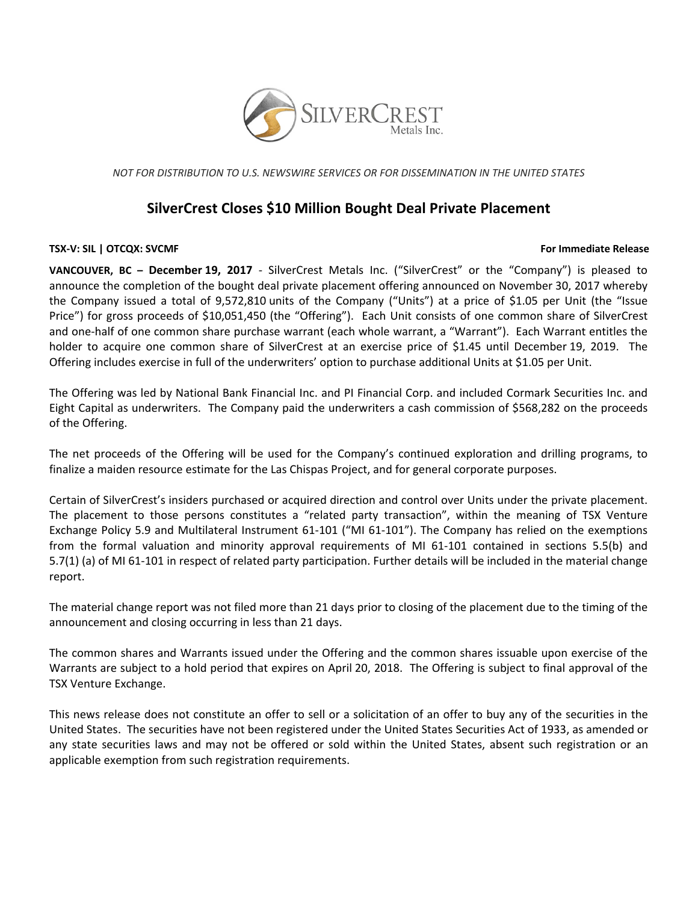

*NOT FOR DISTRIBUTION TO U.S. NEWSWIRE SERVICES OR FOR DISSEMINATION IN THE UNITED STATES*

# **SilverCrest Closes \$10 Million Bought Deal Private Placement**

## **TSX‐V: SIL | OTCQX: SVCMF For Immediate Release**

**VANCOUVER, BC – December 19, 2017** ‐ SilverCrest Metals Inc. ("SilverCrest" or the "Company") is pleased to announce the completion of the bought deal private placement offering announced on November 30, 2017 whereby the Company issued a total of 9,572,810 units of the Company ("Units") at a price of \$1.05 per Unit (the "Issue Price") for gross proceeds of \$10,051,450 (the "Offering"). Each Unit consists of one common share of SilverCrest and one‐half of one common share purchase warrant (each whole warrant, a "Warrant"). Each Warrant entitles the holder to acquire one common share of SilverCrest at an exercise price of \$1.45 until December 19, 2019. The Offering includes exercise in full of the underwriters' option to purchase additional Units at \$1.05 per Unit.

The Offering was led by National Bank Financial Inc. and PI Financial Corp. and included Cormark Securities Inc. and Eight Capital as underwriters. The Company paid the underwriters a cash commission of \$568,282 on the proceeds of the Offering.

The net proceeds of the Offering will be used for the Company's continued exploration and drilling programs, to finalize a maiden resource estimate for the Las Chispas Project, and for general corporate purposes.

Certain of SilverCrest's insiders purchased or acquired direction and control over Units under the private placement. The placement to those persons constitutes a "related party transaction", within the meaning of TSX Venture Exchange Policy 5.9 and Multilateral Instrument 61‐101 ("MI 61‐101"). The Company has relied on the exemptions from the formal valuation and minority approval requirements of MI 61-101 contained in sections 5.5(b) and 5.7(1) (a) of MI 61‐101 in respect of related party participation. Further details will be included in the material change report.

The material change report was not filed more than 21 days prior to closing of the placement due to the timing of the announcement and closing occurring in less than 21 days.

The common shares and Warrants issued under the Offering and the common shares issuable upon exercise of the Warrants are subject to a hold period that expires on April 20, 2018. The Offering is subject to final approval of the TSX Venture Exchange.

This news release does not constitute an offer to sell or a solicitation of an offer to buy any of the securities in the United States. The securities have not been registered under the United States Securities Act of 1933, as amended or any state securities laws and may not be offered or sold within the United States, absent such registration or an applicable exemption from such registration requirements.